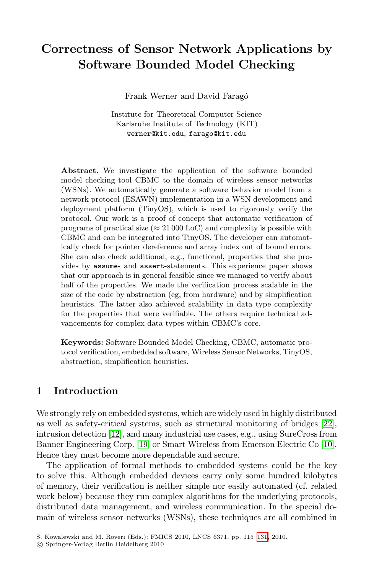# **Correctness of Sensor Network Applications by Software Bounded Model Checking**

Frank Werner and David Faragó

Institute for Theoretical Computer Science Karlsruhe Institute of Technology (KIT) werner@kit.edu, farago@kit.edu

**Abstract.** We investigate the application of the software bounded model checking tool CBMC to the domain of wireless sensor networks (WSNs). We automatically generate a software behavior model from a network protocol (ESAWN) implementation in a WSN development and deployment platform (TinyOS), which is used to rigorously verify the protocol. Our work is a proof of concept that automatic verification of programs of practical size ( $\approx 21000$  LoC) and complexity is possible with CBMC and can be integrated into TinyOS. The developer can automatically check for pointer dereference and array index out of bound errors. She can also check additional, e.g., functional, properties that she provides by assume- and assert-statements. This experience paper shows that our approach is in general feasible since we managed to verify about half of the properties. We made the verification process scalable in the size of the code by abstraction (eg, from hardware) and by simplification heuristics. The latter also achieved scalability in data type complexity for the properties that were verifiable. The others require technical advancements for complex data types within CBMC's core.

**Keywords:** Software Bounded Model Checking, CBM[C, a](#page-16-0)utomatic protocol verification, embedded software, Wireless Sensor Networks, TinyOS, a[bstr](#page-16-1)action, simplification heuristics.

# **1 Introduction**

We strongly rely on embedded systems, which are widely used in highly distributed as well as safety-critical systems, such as structural monitoring of bridges [22], intrusion detection [12], and many industrial use cases, e.g., using SureCross from Banner Engineering Corp. [19] or Smart Wireless from Emerson Electric Co [10]. Hence they must become more dependa[ble](#page-16-2) and secure.

The application of formal methods to embedded systems could be the key to solve this. Although embedded devices carry only some hundred kilobytes of memory, their verification is neither simple nor easily automated (cf. related work below) because they run complex algorithms for the underlying protocols, distributed data management, and wireless communication. In the special domain of wireless sensor networks (WSNs), these techniques are all combined in

S. Kowalewski and M. Roveri (Eds.): FMICS 2010, LNCS 6371, pp. 115–131, 2010.

<sup>-</sup>c Springer-Verlag Berlin Heidelberg 2010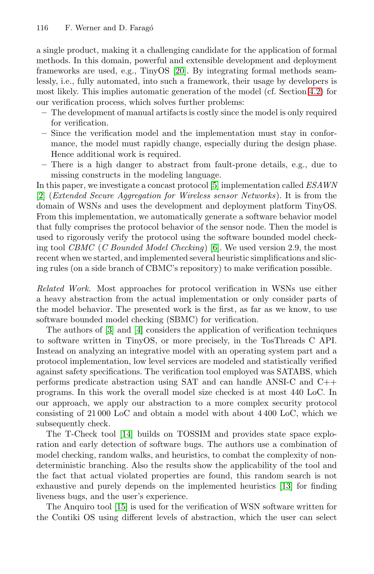a single product, making it a challenging candidate for the application of formal methods. In this domain, powerful and extensible development and deployment frameworks are used, e.g., TinyOS [20]. By integrating formal methods seamlessly, i.e., fully automated, into such a framework, their usage by developers is most likely. This implies automatic generation of the model (cf. Section 4.2) for our verification process, wh[ich](#page-15-0) solves further problems:

- **–** The development of manual artifacts is costly since the model is only required for verification.
- **–** Since the verification model and the implementation must stay in conformance, the model must rapidly change, especially during the design phase. Hence additional work is required.
- **–** There is a high dange[r t](#page-15-1)o abstract from fault-prone details, e.g., due to missing constructs in the modeling language.

In this paper, we investigate a concast protocol [5] implementation called *ESAWN* [2] (*Extended Secure Aggregation for Wireless sensor Networks*). It is from the domain of WSNs and uses the development and deployment platform TinyOS. From this implementation, we automatically generate a software behavior model that fully comprises the protocol behavior of the sensor node. Then the model is used to rigorously verify the protocol using the software bounded model check[in](#page-15-2)g tool *[C](#page-15-3)BMC* (*C Bounded Model Checking*) [6]. We used version 2.9, the most recent when we started, and implemented several heuristic simplifications and slicing rules (on a side branch of CBMC's repository) to make verification possible.

*Related Work.* Most approaches for protocol verification in WSNs use either a heavy abstraction from the actual implementation or only consider parts of the model behavior. The presented work is the first, as far as we know, to use software bounded model checking (SBMC) for verification.

The authors of [3] and [4] considers the application of verification techniques to software written in TinyOS, or more precisely, in the TosThreads C API. Ins[tead](#page-16-3) on analyzing an integrative model with an operating system part and a protocol implementation, low level services are modeled and statistically verified against safety specifications. The verification tool employed was SATABS, which performs predicate abstraction using SAT and can handle ANSI-C and C++ programs. In this work the overall model size checked is at most 440 LoC. In our approach, we apply our abstraction to [a m](#page-16-4)ore complex security protocol consisting of 21 000 LoC and obtain a model with about 4 400 LoC, which we s[ubse](#page-16-5)quently check.

The T-Check tool [14] builds on TOSSIM and provides state space exploration and early detection of software bugs. The authors use a combination of model checking, random walks, and heuristics, to combat the complexity of nondeterministic branching. Also the results show the applicability of the tool and the fact that actual violated properties are found, this random search is not exhaustive and purely depends on the implemented heuristics [13] for finding liveness bugs, and the user's experience.

The Anquiro tool [15] is used for the verification of WSN software written for the Contiki OS using different levels of abstraction, which the user can select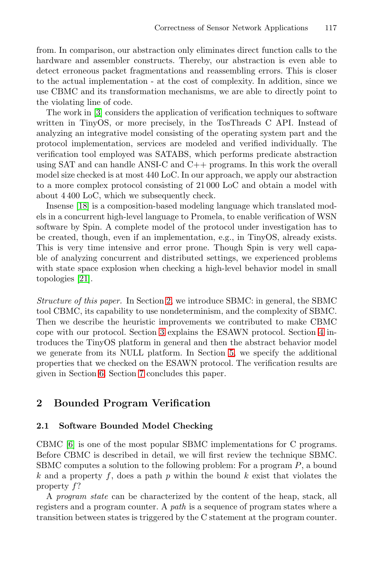from. In comparison, our abstraction only eliminates direct function calls to the hardware and assembler constructs. Thereby, our abstraction is even able to detect erroneous packet fragmentations and reassembling errors. This is closer to the actual implementation - at the cost of complexity. In addition, since we use CBMC and its transformation mechanisms, we are able to directly point to the violating line of code.

The work in [3] considers the application of verification techniques to software written in TinyOS, or more precisely, in the TosThreads C API. Instead of analyzing an integrative model consisting of the operating system part and the protocol implementation, services are modeled and verified individually. The verification tool employed was SATABS, which performs predicate abstraction using SAT and can handle ANSI-C and C++ programs. In this work the overall model size checked is at most 440 LoC. In our approach, we apply our abstraction to a more complex protocol consisting of 21 000 LoC and obtain a model with about 4 400 LoC, which we subsequently check.

Insense [18] is a composition-based modeling language which translated models in a concurr[en](#page-2-0)t high-level language to Promela, to enable verification of WSN software by Spin. A complete model of the protocol under investigation has to be created, though, even if an implementation, e.g., in TinyOS, already exists. This is very [tim](#page-6-0)e intensive and error prone. Though [Sp](#page-7-0)in is very well capable of analyzing concurrent and distributed settings, we experienced problems with state space explosion whe[n c](#page-10-0)hecking a high-level behavior model in small topologies [21].

<span id="page-2-0"></span>*Structu[re](#page-13-0) of this paper.* In Section 2, we introduce SBMC: in general, the SBMC tool CBMC, its capability to use nondeterminism, and the complexity of SBMC. Then we describe the heuristic improvements we contributed to make CBMC cope with our protocol. Section 3 explains the ESAWN protocol. Section 4 introduces the TinyOS platform in general and then the abstract behavior model we generate from its NULL platform. In Section 5, we specify the additional properties that we checked on the ESAWN protocol. The verification results are given in Section 6. Section 7 concludes this paper.

### **2 Bounded Program Verification**

### **2.1 Software Bounded Model Checking**

CBMC [6] is one of the most popular SBMC implementations for C programs. Before CBMC is described in detail, we will first review the technique SBMC. SBMC computes a solution to the following problem: For a program *P*, a bound *k* and a property *f*, does a path *p* within the bound *k* exist that violates the property *f*?

A *program state* can be characterized by the content of the heap, stack, all registers and a program counter. A *path* is a sequence of program states where a transition between states is triggered by the C statement at the program counter.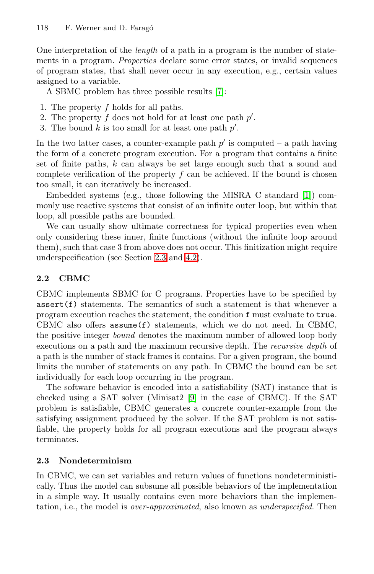One interpretation of the *length* of a path in a program is the number of statements in a program. *Properties* declare some error states, or invalid sequences of program states, that shall never occur in any execution, e.g., certain values assigned to a variable.

A SBMC problem has three possible results [7]:

- 1. The property *f* holds for all paths.
- 2. The property *f* does not hold for at least one p[at](#page-15-4)h *p* .
- 3. The bound *k* is too small for at least one path *p* .

In the two latter cases, a counter-example path  $p'$  is computed – a path having the form of a concrete program execution. For a program that contains a finite set of finite paths, *k* can always be set large enough such that a sound and complete ve[rific](#page-3-0)atio[n of](#page-8-0) the property  $f$  can be achieved. If the bound is chosen too small, it can iteratively be increased.

Embedded systems (e.g., those following the MISRA C standard [1]) commonly use reactive systems that consist of an infinite outer loop, but within that loop, all possible paths are bounded.

We can usually show ultimate correctness for typical properties even when only considering these inner, finite functions (without the infinite loop around them), such that case 3 from above does not occur. This finitization might require underspecification (see Section 2.3 and 4.2).

### **2.2 CBMC**

CBMC implements SBMC for C programs. Properties have to be specified by assert(f) statements. The semantics of such a statement is that whenever a program execution re[ach](#page-15-5)es the statement, the condition f must evaluate to true. CBMC also offers assume(f) statements, which we do not need. In CBMC, the positive integer *bound* denotes the maximum number of allowed loop body executions on a path and the maximum recursive depth. The *recursive depth* of a path is the number of stack frames it contains. For a given program, the bound limits the number of statements on any path. In CBMC the bound can be set individually for each loop occurring in the program.

<span id="page-3-0"></span>The software behavior is encoded into a satisfiability (SAT) instance that is checked using a SAT solver (Minisat2 [9] in the case of CBMC). If the SAT problem is satisfiable, CBMC generates a concrete counter-example from the satisfying assignment produced by the solver. If the SAT problem is not satisfiable, the property holds for all program executions and the program always terminates.

# **2.3 Nondeterminism**

In CBMC, we can set variables and return values of functions nondeterministically. Thus the model can subsume all possible behaviors of the implementation in a simple way. It usually contains even more behaviors than the implementation, i.e., the model is *over-approximated*, also known as *underspecified*. Then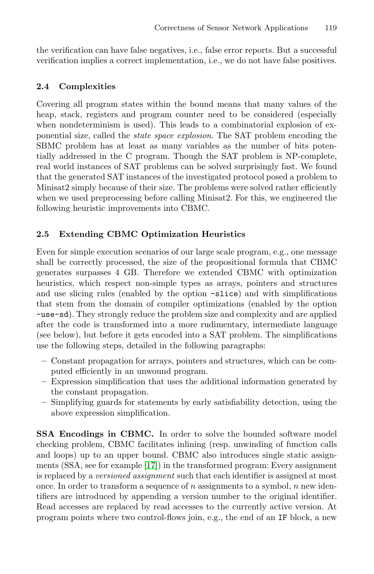the verification can have false negatives, i.e., false error reports. But a successful verification implies a correct implementation, i.e., we do not have false positives.

# **2.4 Complexities**

<span id="page-4-0"></span>Covering all program states within the bound means that many values of the heap, stack, registers and program counter need to be considered (especially when nondeterminism is used). This leads to a combinatorial explosion of exponential size, called the *state space explosion*. The SAT problem encoding the SBMC problem has at least as many variables as the number of bits potentially addressed in the C program. Though the SAT problem is NP-complete, real world instances of SAT problems can be solved surprisingly fast. We found that the generated SAT instances of the investigated protocol posed a problem to Minisat2 simply because of their size. The problems were solved rather efficiently when we used preprocessing before calling Minisat2. For this, we engineered the following heuristic improvements into CBMC.

### **2.5 Extending CBMC Optimization Heuristics**

Even for simple execution scenarios of our large scale program, e.g., one message shall be correctly processed, the size of the propositional formula that CBMC generates surpasses 4 GB. Therefore we extended CBMC with optimization heuristics, which respect non-simple types as arrays, pointers and structures and use slicing rules (enabled by the option -slice) and with simplifications that stem from the domain of compiler optimizations (enabled by the option -use-sd). They strongly reduce the problem size and complexity and are applied after the code is transformed into a more rudimentary, intermediate language (see below), but before it gets encoded into a SAT problem. The simplifications use the following steps, detailed in the following paragraphs:

- **–** Constant propagation for arrays, pointers and structures, which can be computed efficiently in an unwound program.
- **–** Expre[ssio](#page-16-6)n simplification that uses the additional information generated by the constant propagation.
- **–** Simplifying guards for statements by early satisfiability detection, using the above expression simplification.

**SSA Encodings in CBMC.** In order to solve the bounded software model checking problem, CBMC facilitates inlining (resp. unwinding of function calls and loops) up to an upper bound. CBMC also introduces single static assignments (SSA, see for example [17]) in the transformed program: Every assignment is replaced by a *versioned assignment* such that each identifier is assigned at most once. In order to transform a sequence of *n* assignments to a symbol, *n* new identifiers are introduced by appending a version number to the original identifier. Read accesses are replaced by read accesses to the currently active version. At program points where two control-flows join, e.g., the end of an IF block, a new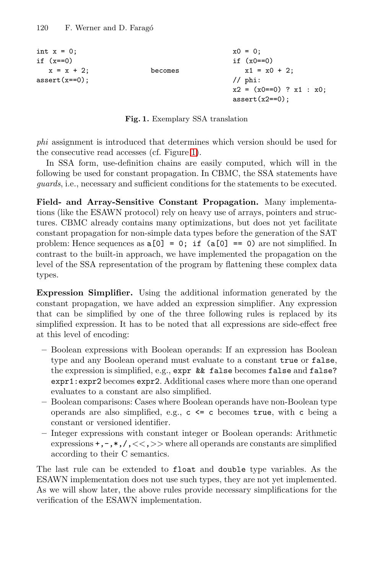```
int x = 0; x0 = 0;
if (x == 0) if (x0 == 0)x = x + 2; becomes x1 = x0 + 2;<br>sert(x==0); // phi:
assert(x==0);
                                x2 = (x0 == 0) ? x1 : x0;assert(x2==0):
```
**Fig. 1.** Exemplary SSA translation

*phi* assignment is introduced that determines which version should be used for the consecutive read accesses (cf. Figure 1).

In SSA form, use-definition chains are easily computed, which will in the following be used for constant propagation. In CBMC, the SSA statements have *guards*, i.e., necessary and sufficient conditions for the statements to be executed.

**Field- and Array-Sensitive Constant Propagation.** Many implementations (like the ESAWN protocol) rely on heavy use of arrays, pointers and structures. CBMC already contains many optimizations, but does not yet facilitate constant propagation for non-simple data types before the generation of the SAT problem: Hence sequences as  $a[0] = 0$ ; if  $(a[0] == 0)$  are not simplified. In contrast to the built-in approach, we have implemented the propagation on the level of the SSA representation of the program by flattening these complex data types.

**Expression Simplifier.** Using the additional information generated by the constant propagation, we have added an expression simplifier. Any expression that can be simplified by one of the three following rules is replaced by its simplified expression. It has to be noted that all expressions are side-effect free at this level of encoding:

- **–** Boolean expressions with Boolean operands: If an expression has Boolean type and any Boolean operand must evaluate to a constant true or false, the expression is simplified, e.g., expr && false becomes false and false? expr1:expr2 becomes expr2. Additional cases where more than one operand evaluates to a constant are also simplified.
- **–** Boolean comparisons: Cases where Boolean operands have non-Boolean type operands are also simplified, e.g.,  $c \leq c$  becomes true, with c being a constant or versioned identifier.
- **–** Integer expressions with constant integer or Boolean operands: Arithmetic expressions +,-,\*,/, <<, >>where all operands are constants are simplified according to their C semantics.

The last rule can be extended to float and double type variables. As the ESAWN implementation does not use such types, they are not yet implemented. As we will show later, the above rules provide necessary simplifications for the verification of the ESAWN implementation.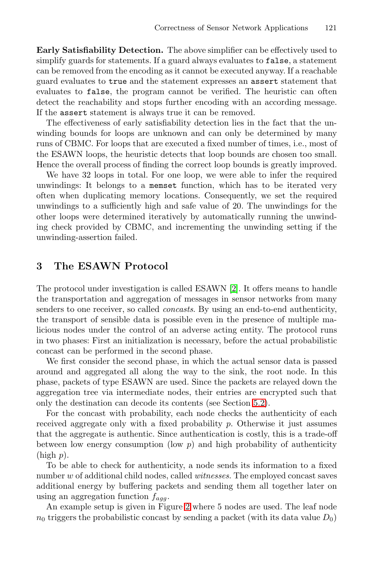**Early Satisfiability Detection.** The above simplifier can be effectively used to simplify guards for statements. If a guard always evaluates to false, a statement can be removed from the encoding as it cannot be executed anyway. If a reachable guard evaluates to true and the statement expresses an assert statement that evaluates to false, the program cannot be verified. The heuristic can often detect the reachability and stops further encoding with an according message. If the assert statement is always true it can be removed.

The effectiveness of early satisfiability detection lies in the fact that the unwinding bounds for loops are unknown and can only be determined by many runs of CBMC. For loops that are executed a fixed number of times, i.e., most of the ESAWN loops, the heuristic detects that loop bounds are chosen too small. Hence the overall process of finding the correct loop bounds is greatly improved.

<span id="page-6-0"></span>We have 32 loops in total. For one loop, we were able to infer the required unwindings: It belongs to a memset function, which has to be iterated very often when duplicating memory locations. Consequently, we set the required unwindings to a sufficiently hig[h a](#page-15-6)nd safe value of 20. The unwindings for the other loops were determined iteratively by automatically running the unwinding check provided by CBMC, and incrementing the unwinding setting if the unwinding-assertion failed.

# **3 The ESAWN Protocol**

The protocol under investigation is called ESAWN [2]. It offers means to handle the transportation and aggregation of messages in sensor networks from many senders to one receiver, so called *concasts*. By using an end-to-end authenticity, the transport of sensible data is poss[ible](#page-11-0) even in the presence of multiple malicious nodes under the control of an adverse acting entity. The protocol runs in two phases: First an initialization is necessary, before the actual probabilistic concast can be performed in the second phase.

We first consider the second phase, in which the actual sensor data is passed around and aggregated all along the way to the sink, the root node. In this phase, packets of type ESAWN are used. Since the packets are relayed down the aggregation tree via intermediate nodes, their entries are encrypted such that only the destination can decode its contents (see Section 5.2).

For the concast with probability, each node checks the authenticity of each received aggregate [on](#page-7-1)ly with a fixed probability *p*. Otherwise it just assumes that the aggregate is authentic. Since authentication is costly, this is a trade-off between low energy consumption (low *p*) and high probability of authenticity (high *p*).

To be able to check for authenticity, a node sends its information to a fixed number *w* of additional child nodes, called *witnesses*. The employed concast saves additional energy by buffering packets and sending them all together later on using an aggregation function *<sup>f</sup>agg*.

An example setup is given in Figure 2 where 5 nodes are used. The leaf node  $n_0$  triggers the probabilistic concast by sending a packet (with its data value  $D_0$ )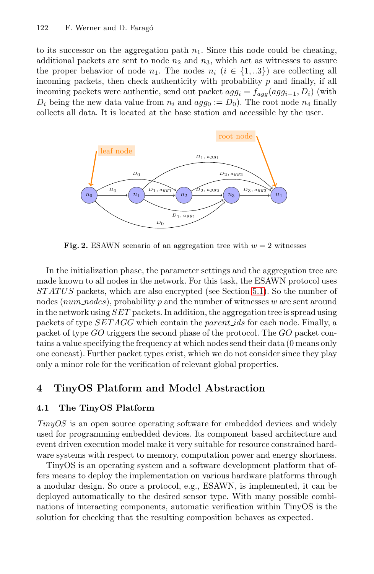to its successor on the aggregation path  $n_1$ . Since this node could be cheating, additional packets are sent to node  $n_2$  and  $n_3$ , which act as witnesses to assure the proper behavior of node  $n_1$ . The nodes  $n_i$  ( $i \in \{1,..3\}$ ) are collecting all incoming packets, then check authenticity with probability *p* and finally, if all incoming packets were authentic, send out packet  $agg_i = f_{agg}(agg_{i-1}, D_i)$  (with  $D_i$  being the new data value from  $n_i$  and  $agg_0 := D_0$ ). The root node  $n_4$  finally collects all data. It is located at the base station and accessible by the user.

<span id="page-7-1"></span>

**Fig. 2.** ESAWN scenario of an aggregation tree with  $w = 2$  witnesses

<span id="page-7-0"></span>In the initialization phase, the parameter settings and the aggregation tree are made known to all nodes in the network. For this task, the ESAWN protocol uses *ST ATUS* packets, which are also encrypted (see Section 5.1). So the number of nodes (*num nodes*), probability *p* and the number of witnesses *w* are sent around in the network using *SET* packets. In addition, the aggregation tree is spread using packets of type *SET AGG* which contain the *parent ids* for each node. Finally, a packet of type *GO* triggers the second phase of the protocol. The *GO* packet contains a value specifying the frequency at which nodes send their data (0 means only one concast). Further packet types exist, which we do not consider since they play only a minor role for the verification of relevant global properties.

# **4 TinyOS Platform and Model Abstraction**

### **4.1 The TinyOS Platform**

*TinyOS* is an open source operating software for embedded devices and widely used for programming embedded devices. Its component based architecture and event driven execution model make it very suitable for resource constrained hardware systems with respect to memory, computation power and energy shortness.

TinyOS is an operating system and a software development platform that offers means to deploy the implementation on various hardware platforms through a modular design. So once a protocol, e.g., ESAWN, is implemented, it can be deployed automatically to the desired sensor type. With many possible combinations of interacting components, automatic verification within TinyOS is the solution for checking that the resulting composition behaves as expected.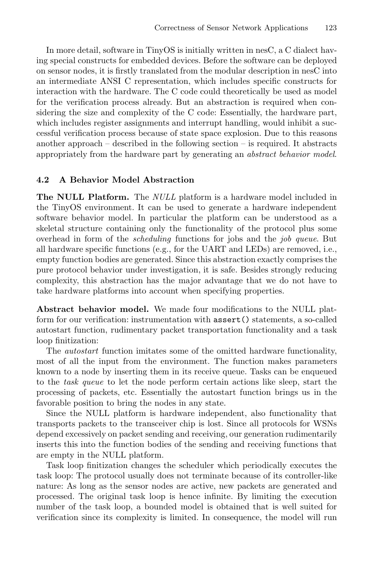In more detail, software in TinyOS is initially written in nesC, a C dialect having special constructs for embedded devices. Before the software can be deployed on sensor nodes, it is firstly translated from the modular description in nesC into an intermediate ANSI C representation, which includes specific constructs for interaction with the hardware. The C code could theoretically be used as model for the verification process already. But an abstraction is required when considering the size and complexity of the C code: Essentially, the hardware part, which includes register assignments and interrupt handling, would inhibit a successful verification process because of state space explosion. Due to this reasons another approach – described in the following section – is required. It abstracts appropriately from the hardware part by generating an *abstract behavior model*.

### **4.2 A Behavior Model Abstraction**

**The NULL Platform.** The *NULL* platform is a hardware model included in the TinyOS environment. It can be used to generate a hardware independent software behavior model. In particular the platform can be understood as a skeletal structure containing only the functionality of the protocol plus some overhead in form of the *scheduling* functions for jobs and the *job queue*. But all hardware specific functions (e.g., for the UART and LEDs) are removed, i.e., empty function bodies are generated. Since this abstraction exactly comprises the pure protocol behavior under investigation, it is safe. Besides strongly reducing complexity, this abstraction has the major advantage that we do not have to take hardware platforms into account when specifying properties.

<span id="page-8-0"></span>**Abstract behavior model.** We made four modifications to the NULL platform for our verification: instrumentation with assert() statements, a so-called autostart function, rudimentary packet transportation functionality and a task loop finitization:

The *autostart* function imitates some of the omitted hardware functionality, most of all the input from the environment. The function makes parameters known to a node by inserting them in its receive queue. Tasks can be enqueued to the *task queue* to let the node perform certain actions like sleep, start the processing of packets, etc. Essentially the autostart function brings us in the favorable position to bring the nodes in any state.

Since the NULL platform is hardware independent, also functionality that transports packets to the transceiver chip is lost. Since all protocols for WSNs depend excessively on packet sending and receiving, our generation rudimentarily inserts this into the function bodies of the sending and receiving functions that are empty in the NULL platform.

Task loop finitization changes the scheduler which periodically executes the task loop: The protocol usually does not terminate because of its controller-like nature: As long as the sensor nodes are active, new packets are generated and processed. The original task loop is hence infinite. By limiting the execution number of the task loop, a bounded model is obtained that is well suited for verification since its complexity is limited. In consequence, the model will run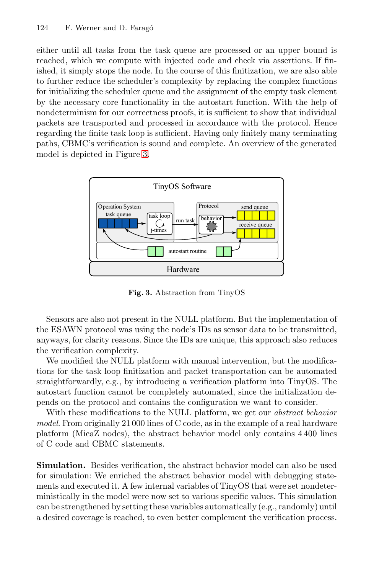either until all tasks from the task queue are processed or an upper bound is reached, which we compute with injected code and check via assertions. If finished, it [sim](#page-9-0)ply stops the node. In the course of this finitization, we are also able to further reduce the scheduler's complexity by replacing the complex functions for initializing the scheduler queue and the assignment of the empty task element by the necessary core functionality in the autostart function. With the help of nondeterminism for our correctness proofs, it is sufficient to show that individual packets are transported and processed in accordance with the protocol. Hence regarding the finite task loop is sufficient. Having only finitely many terminating paths, CBMC's verification is sound and complete. An overview of the generated model is depicted in Figure 3.

<span id="page-9-0"></span>

**Fig. 3.** Abstraction from TinyOS

Sensors are also not present in the NULL platform. But the implementation of the ESAWN protocol was using the node's IDs as sensor data to be transmitted, anyways, for clarity reasons. Since the IDs are unique, this approach also reduces the verification complexity.

<span id="page-9-1"></span>We modified the NULL platform with manual intervention, but the modifications for the task loop finitization and packet transportation can be automated straightforwardly, e.g., by introducing a verification platform into TinyOS. The autostart function cannot be completely automated, since the initialization depends on the protocol and contains the configuration we want to consider.

With these modifications to the NULL platform, we get our *abstract behavior model*. From originally 21 000 lines of C code, as in the example of a real hardware platform (MicaZ nodes), the abstract behavior model only contains 4 400 lines of C code and CBMC statements.

**Simulation.** Besides verification, the abstract behavior model can also be used for simulation: We enriched the abstract behavior model with debugging statements and executed it. A few internal variables of TinyOS that were set nondeterministically in the model were now set to various specific values. This simulation can be strengthened by setting these variables automatically (e.g., randomly) until a desired coverage is reached, to even better complement the verification process.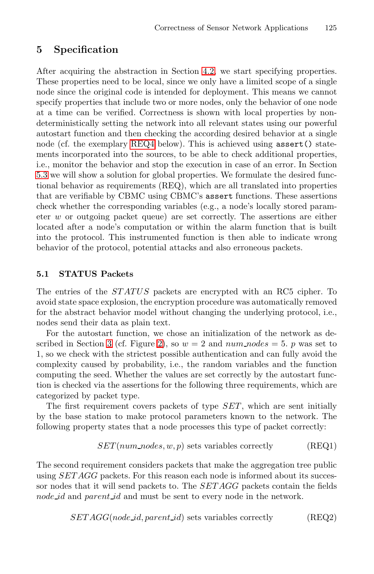# <span id="page-10-0"></span>**5 Specification**

After [acquir](#page-11-1)ing the abstraction in Section 4.2, we start specifying properties. These properties need to be local, since we only have a limited scope of a single node since the original code is intended for deployment. This means we cannot specify properties that include two or more nodes, only the behavior of one node at a time can be verified. Correctness is shown with local properties by nondeterministically setting the network into all relevant states using our powerful autostart function and then checking the according desired behavior at a single node (cf. the exemplary REQ4 below). This is achieved using assert() statements incorporated into the sources, to be able to check additional properties, i.e., monitor the behavior and stop the execution in case of an error. In Section 5.3 we will show a solution for global properties. We formulate the desired functional behavior as requirements (REQ), which are all translated into properties that are verifiable by CBMC using CBMC's assert functions. These assertions check whether the corresponding variables (e.g., a node's locally stored parameter *w* or outgoing packet queue) are set correctly. The assertions are either located after a node's computation or within the alarm function that is built into the protocol. This instrumented function is then able to indicate wrong behavior of the protocol, potential attacks and also erroneous packets.

### **5.1 STATUS Packets**

The entries of the *STATUS* packets are encrypted with an RC5 cipher. To avoid state space explosion, the encryption procedure was automatically removed for the abstract behavior model without changing the underlying protocol, i.e., nodes send their data as plain text.

<span id="page-10-2"></span>For the autostart function, we chose an initialization of the network as described in Section 3 (cf. Figure 2), so  $w = 2$  and  $num\_nodes = 5$ . *p* was set to 1, so we check with the strictest possible authentication and can fully avoid the complexity caused by probability, i.e., the random variables and the function computing the seed. Whether the values are set correctly by the autostart function is checked via the assertions for the following three requirements, which are categorized by packet type.

The first requirement covers packets of type *SET* , which are sent initially by the base station to make protocol parameters known to the network. The following property states that a node processes this type of packet correctly:

$$
SET(num~nodes, w, p) sets variables correctly \t\t (REQ1)
$$

<span id="page-10-1"></span>The second requirement considers packets that make the aggregation tree public using *SETAGG* packets. For this reason each node is informed about its successor nodes that it will send packets to. The *SET AGG* packets contain the fields *node\_id* and *parent\_id* and must be sent to every node in the network.

$$
SETAGG(node_id, parent_id) sets variables correctly \t (REQ2)
$$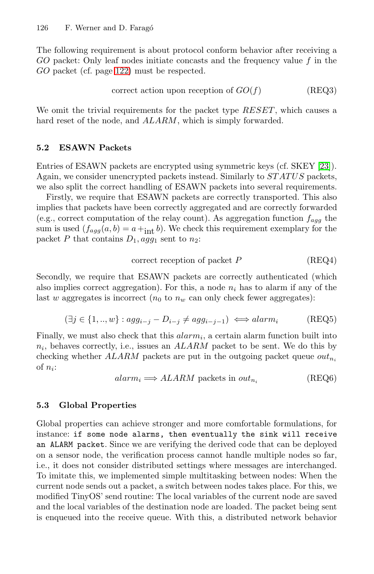<span id="page-11-2"></span><span id="page-11-0"></span>The following requirement is about protocol conform behavior after receiving a *GO* packet: Only leaf nodes initiate concasts and the frequency value *f* in the *GO* packet (cf. page 122) must be respected.

$$
correct action upon reception of GO(f)
$$
 (REQ3)

We omit the trivial requirements for the packet type *RESET* , which causes a hard reset of the node, and *ALARM*, which is simply forwarded.

### **5.2 ESAWN Packets**

<span id="page-11-1"></span>Entries of ESAWN packets are encrypted using symmetric keys (cf. SKEY [23]). Again, we consider unencrypted packets instead. Similarly to *ST AT US* packets, we also split the correct handling of ESAWN packets into several requirements.

Firstly, we require that ESAWN packets are correctly transported. This also implies that packets have been correctly aggregated and are correctly forwarded (e.g., correct computation of the relay count). As aggregation function *<sup>f</sup>agg* the sum is used  $(f_{agg}(a, b) = a +_{int} b)$ . We check this requirement exemplary for the packet *P* that contains  $D_1$ *, agg<sub>1</sub>* sent to  $n_2$ :

$$
correct\,\,reception\,\,of\,\,packet\,\,P\tag{REQ4}
$$

<span id="page-11-3"></span>Secondly, we require that ESAWN packets are correctly authenticated (which also implies correct aggregation). For this, a node  $n_i$  has to alarm if any of the last *w* aggregates is incorrect  $(n_0 \text{ to } n_w \text{ can only check fewer aggregates})$ :

$$
(\exists j \in \{1, ..., w\} : agg_{i-j} - D_{i-j} \neq agg_{i-j-1}) \iff alarm_i \tag{REQ5}
$$

Finally, we must also check that this  $alarm<sub>i</sub>$ , a certain alarm function built into *<sup>n</sup>i*, behaves correctly, i.e., issues an *ALARM* packet to be sent. We do this by checking whether  $ALARM$  packets are put in the outgoing packet queue  $out_{n_i}$ of  $n_i$ :

$$
alarm_i \Longrightarrow ALARM \text{ packets in } out_{n_i} \qquad (\text{REQ6})
$$

#### **5.3 Global Properties**

Global properties can achieve stronger and more comfortable formulations, for instance: if some node alarms, then eventually the sink will receive an ALARM packet. Since we are verifying the derived code that can be deployed on a sensor node, the verification process cannot handle multiple nodes so far, i.e., it does not consider distributed settings where messages are interchanged. To imitate this, we implemented simple multitasking between nodes: When the current node sends out a packet, a switch between nodes takes place. For this, we modified TinyOS' send routine: The local variables of the current node are saved and the local variables of the destination node are loaded. The packet being sent is enqueued into the receive queue. With this, a distributed network behavior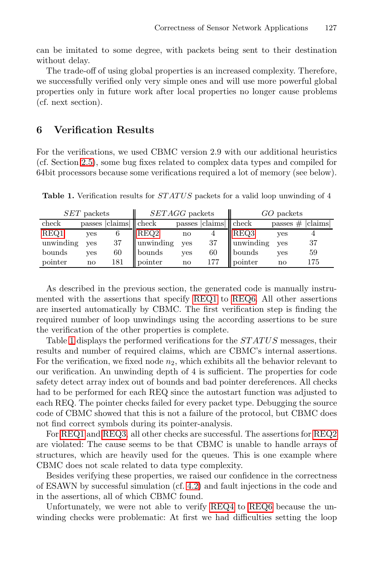can be imitated to some degree, with packets being sent to their destination without delay.

The trade-off of using global properties is an increased complexity. Therefore, we successfully verified only very simple ones and will use more powerful global properties only in future work after local properties no longer cause problems (cf. next section).

# **6 Verification Results**

For the [verific](#page-10-1)ations, we used C[BMC v](#page-11-2)ersion 2.9 with our additional heuristics (cf. Section 2.5), some bug fixes related to complex data types and compiled for 64bit processors because some verifications required a lot of memory (see below).

**Table 1.** Verification results for *STATUS* packets for a valid loop unwinding of 4

| $SET$ packets |                        |                     | $SETAGG$ packets |     |                     | GO packets |                     |     |
|---------------|------------------------|---------------------|------------------|-----|---------------------|------------|---------------------|-----|
| check         |                        | passes claims check |                  |     | passes claims check |            | passes $\#$  claims |     |
| REQ1          | ves                    |                     | REQ <sub>2</sub> | no  |                     | REQ3       | ves                 |     |
| unwinding     | ves                    | 37                  | unwinding        | yes | 37                  | unwinding  | yes                 | 37  |
| bounds        | yes                    | 60                  | bounds           | yes | 60                  | bounds     | ves                 | 59  |
| pointer       | $\mathbf{n}\mathbf{o}$ | 181                 | pointer          | no  | 177                 | pointer    | no                  | 175 |

As described in the previous section, the generated code is manually instrumented with the assertions that specify REQ1 to REQ6. All other assertions are inserted automatically by CBMC. The first verification step is finding the required number of loop unwindings using the according assertions to be sure the verification of the other properties is complete.

Table 1 displays the performed verifications for the *ST AT US* messages, their [result](#page-11-2)s and number of required claims, which are C[BMC's i](#page-10-1)nternal assertions. For the verification, we fixed node  $n_2$ , which exhibits all the behavior relevant to our verification. An unwinding depth of 4 is sufficient. The properties for code safety detect array index out of bounds and bad pointer dereferences. All checks had to be performed for each REQ since the autostart function was adjusted to each REQ. The poin[ter c](#page-9-1)hecks failed for every packet type. Debugging the source code of CBMC showed that this is not a failure of the protocol, but CBMC does not find correct symbols d[uring it](#page-11-1)s p[ointer-a](#page-11-3)nalysis.

For REQ1 and REQ3, all other checks are successful. The assertions for REQ2 are violated: The cause seems to be that CBMC is unable to handle arrays of structures, which are heavily used for the queues. This is one example where CBMC does not scale related to data type complexity.

Besides verifying these properties, we raised our confidence in the correctness of ESAWN by successful simulation (cf. 4.2) and fault injections in the code and in the assertions, all of which CBMC found.

Unfortunately, we were not able to verify REQ4 to REQ6 because the unwinding checks were problematic: At first we had difficulties setting the loop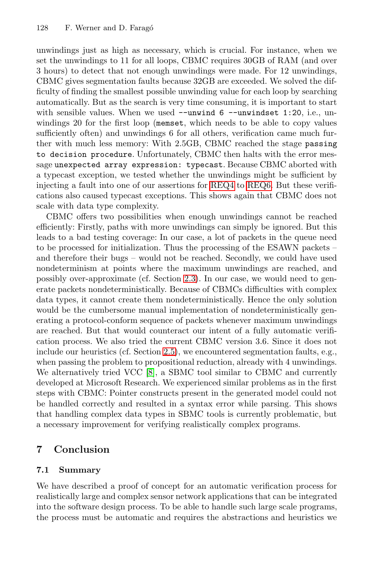unwindings just as high as necessary, which is crucial. For instance, when we set the unwindings to 11 for all loops, CBMC requires 30GB of RAM (and over 3 hours) to detect that not enough unwindings were made. For 12 unwindings, CBMC gives segmentation faults because 32GB are exceeded. We solved the difficulty of finding the smallest possible unwinding value for each loop by searching automatically. But as the s[earch is](#page-11-1) v[ery tim](#page-11-3)e consuming, it is important to start with sensible values. When we used  $\text{-unwind 6 --unwindset 1:20, i.e., un-}$ windings 20 for the first loop (memset, which needs to be able to copy values sufficiently often) and unwindings 6 for all others, verification came much further with much less memory: With 2.5GB, CBMC reached the stage passing to decision procedure. Unfortunately, CBMC then halts with the error message unexpected array expression: typecast. Because CBMC aborted with a typecast exception, we tested whether the unwindings might be sufficient by injecting a fault into one of our assertions for REQ4 to REQ6. But these verifications also caused [type](#page-3-0)cast exceptions. This shows again that CBMC does not scale with data type complexity.

CBMC offers two possibilities when enough unwindings cannot be reached efficiently: Firstly, paths with more unwindings can simply be ignored. But this leads to a bad testing coverage: In our case, a lot of packets in the queue need to be processed for initialization. Thus the processing of the ESAWN packets – and therefore their bugs – would not be reached. Secondly, we could have used nondeterminis[m a](#page-4-0)t points where the maximum unwindings are reached, and possibly over-approximate (cf. Section 2.3). In our case, we would need to generate pack[et](#page-15-7)s nondeterministically. Because of CBMCs difficulties with complex data types, it cannot create them nondeterministically. Hence the only solution would be the cumbersome manual implementation of nondeterministically generating a protocol-conform sequence of packets whenever maximum unwindings are reached. But that would counteract our intent of a fully automatic verification process. We also tried the current CBMC version 3.6. Since it does not include our heuristics (cf. Section 2.5), we encountered segmentation faults, e.g., when passing the problem to propositional reduction, already with 4 unwindings. We alternatively tried VCC [8], a SBMC tool similar to CBMC and currently developed at Microsoft Research. We experienced similar problems as in the first steps with CBMC: Pointer constructs present in the generated model could not be handled correctly and resulted in a syntax error while parsing. This shows that handling complex data types in SBMC tools is currently problematic, but a necessary improvement for verifying realistically complex programs.

# <span id="page-13-0"></span>**7 Conclusion**

### **7.1 Summary**

We have described a proof of concept for an automatic verification process for realistically large and complex sensor network applications that can be integrated into the software design process. To be able to handle such large scale programs, the process must be automatic and requires the abstractions and heuristics we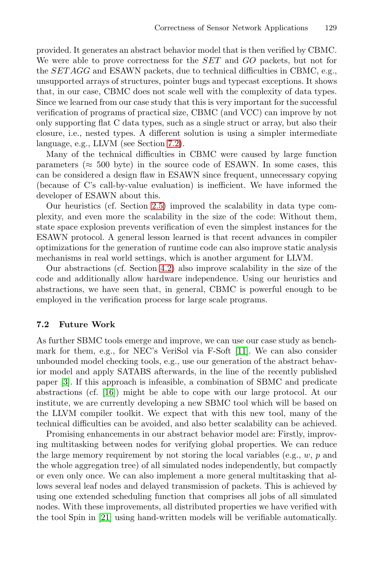provided. It generates an abstract behavior model that is then verified by CBMC. We were able [to pr](#page-14-0)ove correctness for the *SET* and *GO* packets, but not for the *SET AGG* and ESAWN packets, due to technical difficulties in CBMC, e.g., unsupported arrays of structures, pointer bugs and typecast exceptions. It shows that, in our case, CBMC does not scale well with the complexity of data types. Since we learned from our case study that this is very important for the successful verification of programs of practical size, CBMC (and VCC) can improve by not only suppo[rting](#page-4-0) flat C data types, such as a single struct or array, but also their closure, i.e., nested types. A different solution is using a simpler intermediate language, e.g., LLVM (see Section 7.2).

Many of the technical difficulties in CBMC were caused by large function parameters ( $\approx$  500 byte) in the source code of ESAWN. In some cases, this can be considered a design flaw in ESAWN since frequent, unnecessary copying (because of [C's c](#page-8-0)all-by-value evaluation) is inefficient. We have informed the developer of ESAWN about this.

<span id="page-14-0"></span>Our heuristics (cf. Section 2.5) improved the scalability in data type complexity, and even more the scalability in the size of the code: Without them, state space explosion prevents verification of even the simplest instances for the ESAWN protocol. A general lesson learned is that recent advances in compiler optimizations for the generation of runtime code can also improve static analysis mechanisms in real world settings, which is another argument for LLVM.

Our abstractions (cf. Section [4.2\)](#page-15-8) also improve scalability in the size of the code and additionally allow hardware independence. Using our heuristics and abstractions, we have seen that, in general, CBMC is powerful enough to be employed in the verification process for large scale programs.

### **7.2 Future Work**

As further SBMC tools emerge and improve, we can use our case study as benchmark for them, e.g., for NEC's VeriSol via F-Soft [11]. We can also consider unbounded model checking tools, e.g., use our generation of the abstract behavior model and apply SATABS afterwards, in the line of the recently published paper [3]. If this approach is infeasible, a combination of SBMC and predicate abstractions (cf. [16]) might be able to cope with our large protocol. At our institute, we are currently developing a new SBMC tool which will be based on the LLVM compiler toolkit. We expect that with this new tool, many of the technical difficulties can be avoided, and also better scalability can be achieved.

Promising enhancements in our abstract behavior model are: Firstly, improv[i](#page-16-8)ng multitasking between nodes for verifying global properties. We can reduce the large memory requirement by not storing the local variables (e.g., *w*, *p* and the whole aggregation tree) of all simulated nodes independently, but compactly or even only once. We can also implement a more general multitasking that allows several leaf nodes and delayed transmission of packets. This is achieved by using one extended scheduling function that comprises all jobs of all simulated nodes. With these improvements, all distributed properties we have verified with the tool Spin in [21] using hand-written models will be verifiable automatically.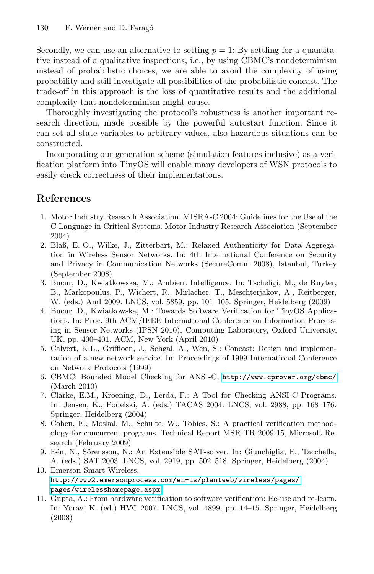Secondly, we can use an alternative to setting  $p = 1$ : By settling for a quantitative instead of a qualitative inspections, i.e., by using CBMC's nondeterminism instead of probabilistic choices, we are able to avoid the complexity of using probability and still investigate all possibilities of the probabilistic concast. The trade-off in this approach is the loss of quantitative results and the additional complexity that nondeterminism might cause.

<span id="page-15-4"></span>Thoroughly investigating the protocol's robustness is another important research direction, made possible by the powerful autostart function. Since it can set all state variables to arbitrary values, also hazardous situations can be constructed.

<span id="page-15-6"></span>Incorporating our generation scheme (simulation features inclusive) as a verification platform into TinyOS will enable many developers of WSN protocols to easily check correctness of their implementations.

# <span id="page-15-3"></span><span id="page-15-2"></span>**References**

- 1. Motor Industry Research Association. MISRA-C 2004: Guidelines for the Use of the C Language in Critical Systems. Motor Industry Research Association (September 2004)
- <span id="page-15-0"></span>2. Blaß, E.-O., Wilke, J., Zitterbart, M.: Relaxed Authenticity for Data Aggregation in Wireless Sensor Networks. In: 4th International Conference on Security and Privacy in Communication Networks (SecureComm 2008), Istanbul, Turkey (September 2008)
- <span id="page-15-1"></span>3. Bucur, D., Kwiatkowska, M.: Ambient Intelligence. In: Tscheligi, M., de Ruyter, B., Markopoulus, P., Wiche[rt, R., Mirlacher, T., Meschterjak](http://www.cprover.org/cbmc/)ov, A., Reitberger, W. (eds.) AmI 2009. LNCS, vol. 5859, pp. 101–105. Springer, Heidelberg (2009)
- 4. Bucur, D., Kwiatkowska, M.: Towards Software Verification for TinyOS Applications. In: Proc. 9th ACM/IEEE International Conference on Information Processing in Sensor Networks (IPSN 2010), Computing Laboratory, Oxford University, UK, pp. 400–401. ACM, New York (April 2010)
- <span id="page-15-7"></span>5. Calvert, K.L., Griffioen, J., Sehgal, A., Wen, S.: Concast: Design and implementation of a new network service. In: Proceedings of 1999 International Conference on Network Protocols (1999)
- <span id="page-15-5"></span>6. CBMC: Bounded Model Checking for ANSI-C, http://www.cprover.org/cbmc/ (March 2010)
- [7. Clarke, E.M., Kroening, D., Lerda, F.: A Tool for](http://www2.emersonprocess.com/en-us/plantweb/wireless/pages/wirelesshomepage.aspx) Checking ANSI-C Programs. [In: Jensen,](http://www2.emersonprocess.com/en-us/plantweb/wireless/pages/wirelesshomepage.aspx) K., Podelski, A. (eds.) TACAS 2004. LNCS, vol. 2988, pp. 168–176. Springer, Heidelberg (2004)
- <span id="page-15-8"></span>8. Cohen, E., Moskal, M., Schulte, W., Tobies, S.: A practical verification methodology for concurrent programs. Technical Report MSR-TR-2009-15, Microsoft Research (February 2009)
- 9. Eén, N., Sörensson, N.: An Extensible SAT-solver. In: Giunchiglia, E., Tacchella, A. (eds.) SAT 2003. LNCS, vol. 2919, pp. 502–518. Springer, Heidelberg (2004)
- 10. Emerson Smart Wireless, http://www2.emersonprocess.com/en-us/plantweb/wireless/pages/ pages/wirelesshomepage.aspx
- 11. Gupta, A.: From hardware verification to software verification: Re-use and re-learn. In: Yorav, K. (ed.) HVC 2007. LNCS, vol. 4899, pp. 14–15. Springer, Heidelberg (2008)